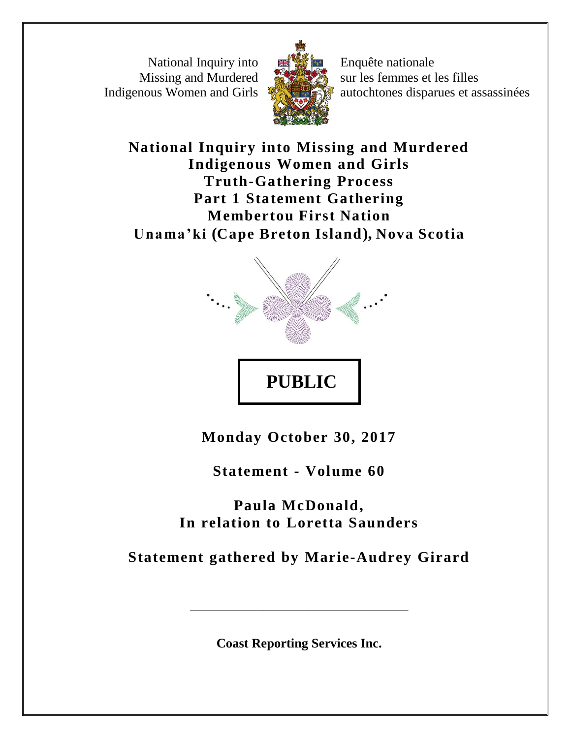National Inquiry into Missing and Murdered Indigenous Women and Girls



Enquête nationale sur les femmes et les filles autochtones disparues et assassinées

**National Inquiry into Missing and Murdered Indigenous Women and Girls Truth-Gathering Process Part 1 Statement Gathering Membertou First Nation Unama 'ki (Cape Breton Island), Nova Scotia**



**Monday October 30, 2017**

**Statement - Volume 60**

**Paula McDonald, In relation to Loretta Saunders**

**Statement gathered by Marie-Audrey Girard**

**Coast Reporting Services Inc.**

\_\_\_\_\_\_\_\_\_\_\_\_\_\_\_\_\_\_\_\_\_\_\_\_\_\_\_\_\_\_\_\_\_\_\_\_\_\_\_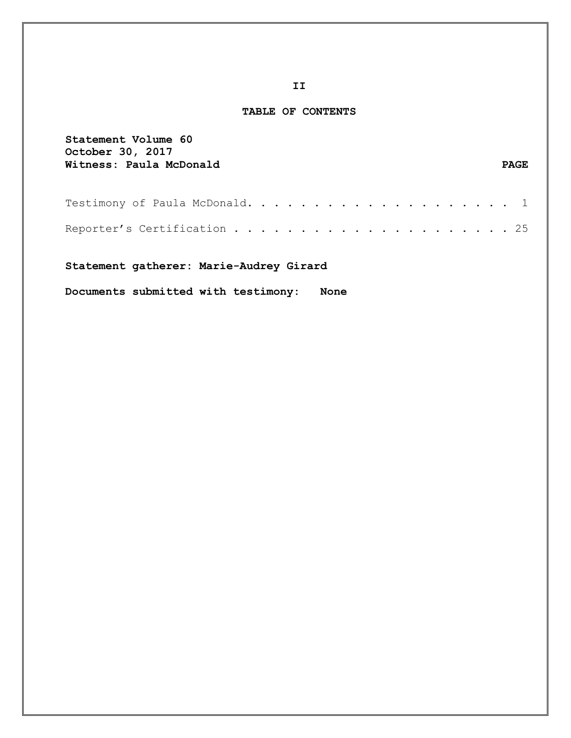#### **TABLE OF CONTENTS**

| Statement Volume 60<br><b>October 30, 2017</b><br>Witness: Paula McDonald              | <b>PAGE</b> |
|----------------------------------------------------------------------------------------|-------------|
|                                                                                        |             |
|                                                                                        |             |
| Statement gatherer: Marie-Audrey Girard<br>Documents submitted with testimony:<br>None |             |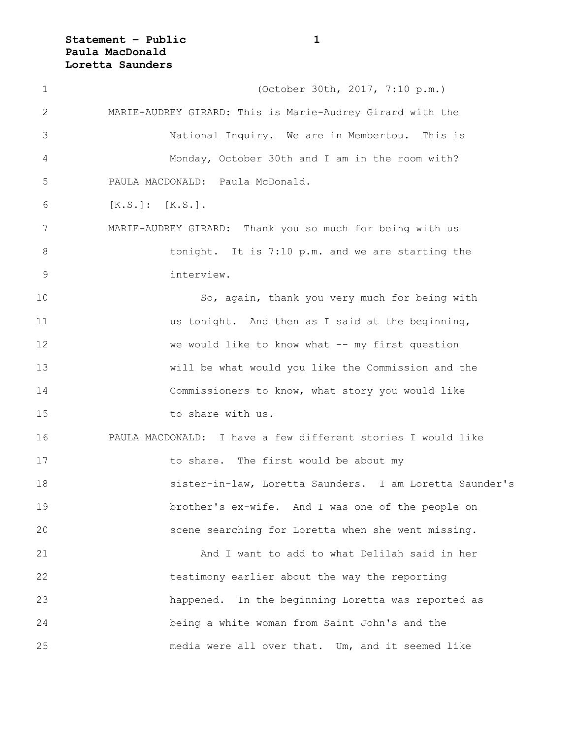**Statement – Public 1 Paula MacDonald Loretta Saunders**

| $\mathbf 1$    | (October 30th, 2017, 7:10 p.m.)                              |
|----------------|--------------------------------------------------------------|
| 2              | MARIE-AUDREY GIRARD: This is Marie-Audrey Girard with the    |
| 3              | National Inquiry. We are in Membertou. This is               |
| 4              | Monday, October 30th and I am in the room with?              |
| 5              | PAULA MACDONALD: Paula McDonald.                             |
| 6              | $[K.S.]: [K.S.]$ .                                           |
| 7              | MARIE-AUDREY GIRARD: Thank you so much for being with us     |
| 8              | tonight. It is 7:10 p.m. and we are starting the             |
| $\overline{9}$ | interview.                                                   |
| 10             | So, again, thank you very much for being with                |
| 11             | us tonight. And then as I said at the beginning,             |
| 12             | we would like to know what -- my first question              |
| 13             | will be what would you like the Commission and the           |
| 14             | Commissioners to know, what story you would like             |
| 15             | to share with us.                                            |
| 16             | PAULA MACDONALD: I have a few different stories I would like |
| 17             | to share. The first would be about my                        |
| 18             | sister-in-law, Loretta Saunders. I am Loretta Saunder's      |
| 19             | brother's ex-wife. And I was one of the people on            |
| 20             | scene searching for Loretta when she went missing.           |
| 21             | And I want to add to what Delilah said in her                |
| 22             | testimony earlier about the way the reporting                |
| 23             | happened. In the beginning Loretta was reported as           |
| 24             | being a white woman from Saint John's and the                |
| 25             | media were all over that. Um, and it seemed like             |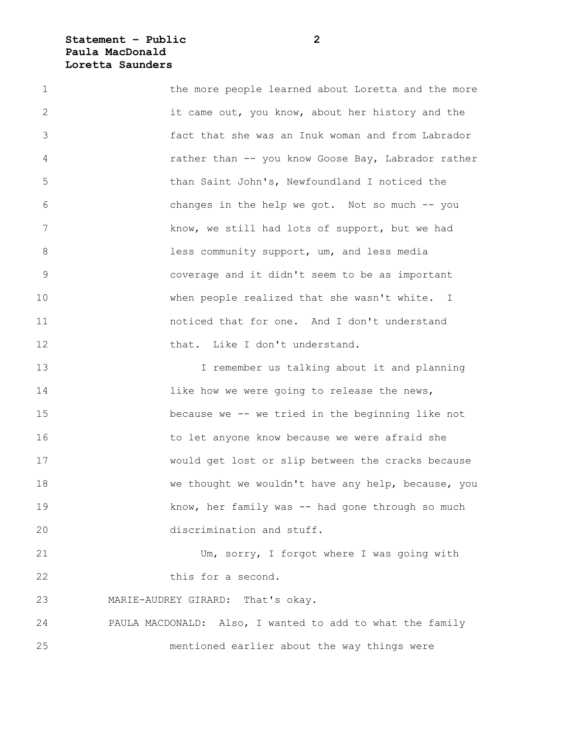### **Statement – Public 2 Paula MacDonald Loretta Saunders**

1 the more people learned about Loretta and the more 2 it came out, you know, about her history and the 3 fact that she was an Inuk woman and from Labrador 4 rather than -- you know Goose Bay, Labrador rather 5 than Saint John's, Newfoundland I noticed the 6 changes in the help we got. Not so much -- you 7 know, we still had lots of support, but we had 8 **and 1** less community support, um, and less media 9 coverage and it didn't seem to be as important 10 when people realized that she wasn't white. I 11 noticed that for one. And I don't understand 12 that. Like I don't understand. 13 I remember us talking about it and planning 14 **14 like how we were going to release the news,** 15 because we -- we tried in the beginning like not 16 to let anyone know because we were afraid she 17 would get lost or slip between the cracks because 18 we thought we wouldn't have any help, because, you 19 know, her family was -- had gone through so much 20 discrimination and stuff. 21 Um, sorry, I forgot where I was going with 22 this for a second. 23 MARIE-AUDREY GIRARD: That's okay. 24 PAULA MACDONALD: Also, I wanted to add to what the family

25 mentioned earlier about the way things were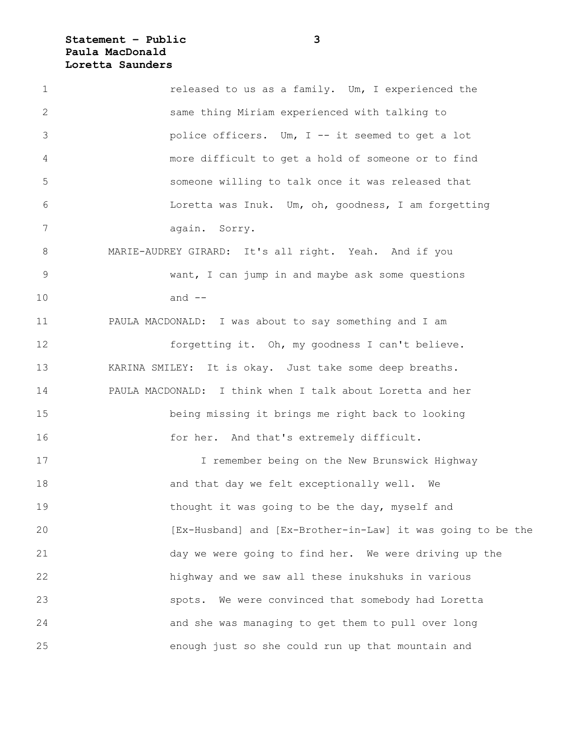# **Statement – Public 3 Paula MacDonald Loretta Saunders**

| $\mathbf 1$  | released to us as a family. Um, I experienced the           |
|--------------|-------------------------------------------------------------|
| $\mathbf{2}$ | same thing Miriam experienced with talking to               |
| 3            | police officers. Um, I -- it seemed to get a lot            |
| 4            | more difficult to get a hold of someone or to find          |
| 5            | someone willing to talk once it was released that           |
| 6            | Loretta was Inuk. Um, oh, goodness, I am forgetting         |
| 7            | again. Sorry.                                               |
| 8            | MARIE-AUDREY GIRARD: It's all right. Yeah. And if you       |
| $\mathsf 9$  | want, I can jump in and maybe ask some questions            |
| 10           | and $--$                                                    |
| 11           | PAULA MACDONALD: I was about to say something and I am      |
| 12           | forgetting it. Oh, my goodness I can't believe.             |
| 13           | KARINA SMILEY: It is okay. Just take some deep breaths.     |
| 14           | PAULA MACDONALD: I think when I talk about Loretta and her  |
| 15           | being missing it brings me right back to looking            |
| 16           | for her. And that's extremely difficult.                    |
| 17           | I remember being on the New Brunswick Highway               |
| 18           | and that day we felt exceptionally well.<br>We              |
| 19           | thought it was going to be the day, myself and              |
| 20           | [Ex-Husband] and [Ex-Brother-in-Law] it was going to be the |
| 21           | day we were going to find her. We were driving up the       |
| 22           | highway and we saw all these inukshuks in various           |
| 23           | We were convinced that somebody had Loretta<br>spots.       |
| 24           | and she was managing to get them to pull over long          |
| 25           | enough just so she could run up that mountain and           |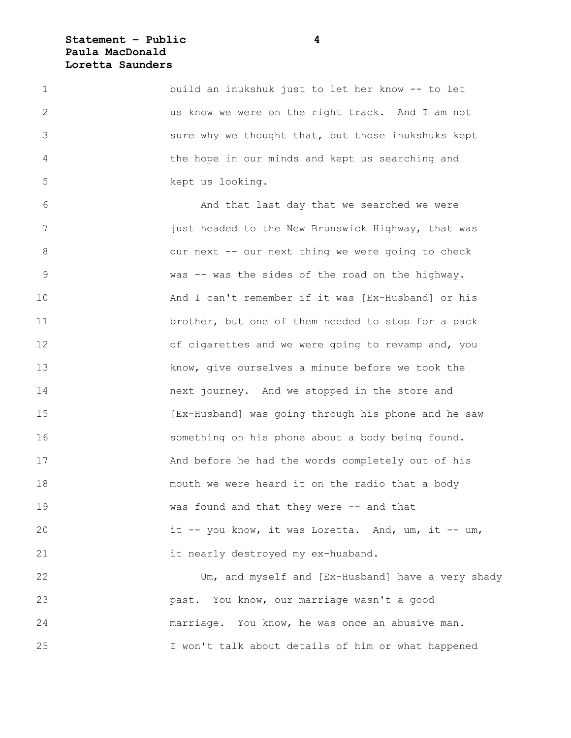#### **Statement – Public 4 Paula MacDonald Loretta Saunders**

1 build an inukshuk just to let her know -- to let 2 us know we were on the right track. And I am not 3 sure why we thought that, but those inukshuks kept 4 the hope in our minds and kept us searching and 5 kept us looking.

6 And that last day that we searched we were 7 **19 iust headed to the New Brunswick Highway, that was** 8 our next -- our next thing we were going to check 9 was -- was the sides of the road on the highway. 10 And I can't remember if it was [Ex-Husband] or his 11 brother, but one of them needed to stop for a pack 12 of cigarettes and we were going to revamp and, you 13 know, give ourselves a minute before we took the 14 next journey. And we stopped in the store and 15 [Ex-Husband] was going through his phone and he saw 16 something on his phone about a body being found. 17 And before he had the words completely out of his 18 mouth we were heard it on the radio that a body 19 Was found and that they were -- and that 20 it -- you know, it was Loretta. And, um, it -- um, 21 it nearly destroyed my ex-husband.

22 Um, and myself and [Ex-Husband] have a very shady 23 past. You know, our marriage wasn't a good 24 marriage. You know, he was once an abusive man. 25 I won't talk about details of him or what happened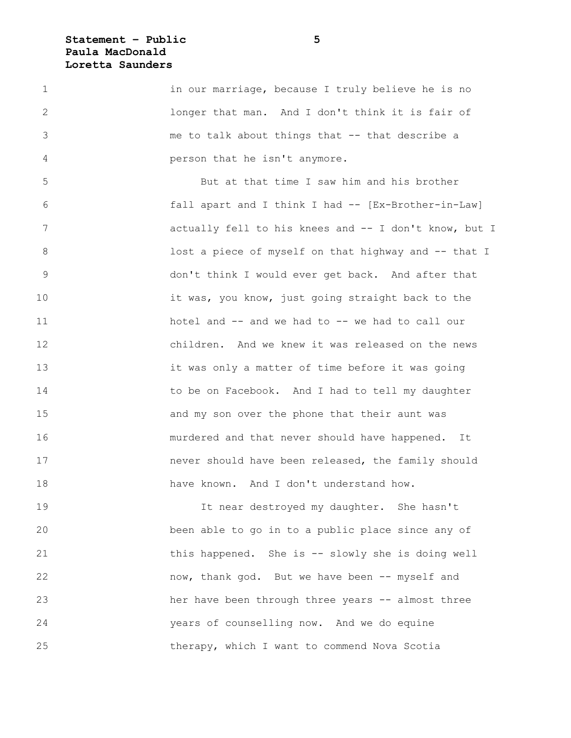### **Statement – Public 5 Paula MacDonald Loretta Saunders**

1 in our marriage, because I truly believe he is no 2 longer that man. And I don't think it is fair of 3 me to talk about things that -- that describe a 4 person that he isn't anymore.

5 But at that time I saw him and his brother 6 fall apart and I think I had -- [Ex-Brother-in-Law] 7 actually fell to his knees and -- I don't know, but I 8 **108** lost a piece of myself on that highway and -- that I 9 don't think I would ever get back. And after that 10 it was, you know, just going straight back to the 11 hotel and -- and we had to -- we had to call our 12 children. And we knew it was released on the news 13 it was only a matter of time before it was going 14 to be on Facebook. And I had to tell my daughter 15 and my son over the phone that their aunt was 16 murdered and that never should have happened. It 17 never should have been released, the family should 18 have known. And I don't understand how.

19 It near destroyed my daughter. She hasn't 20 been able to go in to a public place since any of 21 this happened. She is -- slowly she is doing well 22 now, thank god. But we have been -- myself and 23 her have been through three years -- almost three 24 years of counselling now. And we do equine 25 therapy, which I want to commend Nova Scotia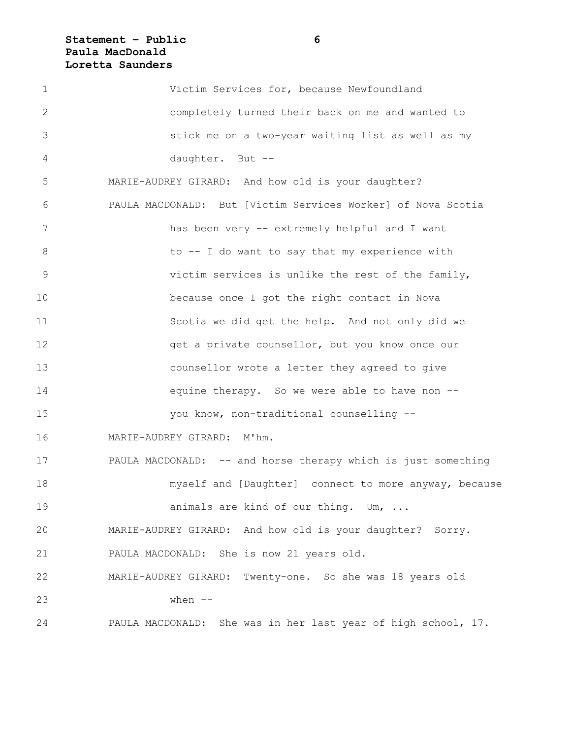# **Statement – Public 6 Paula MacDonald Loretta Saunders**

| $\mathbf 1$   | Victim Services for, because Newfoundland                     |
|---------------|---------------------------------------------------------------|
| 2             | completely turned their back on me and wanted to              |
| 3             | stick me on a two-year waiting list as well as my             |
| 4             | daughter. But --                                              |
| 5             | MARIE-AUDREY GIRARD: And how old is your daughter?            |
| 6             | PAULA MACDONALD: But [Victim Services Worker] of Nova Scotia  |
| 7             | has been very -- extremely helpful and I want                 |
| $8\,$         | to -- I do want to say that my experience with                |
| $\mathcal{G}$ | victim services is unlike the rest of the family,             |
| 10            | because once I got the right contact in Nova                  |
| 11            | Scotia we did get the help. And not only did we               |
| 12            | get a private counsellor, but you know once our               |
| 13            | counsellor wrote a letter they agreed to give                 |
| 14            | equine therapy. So we were able to have non --                |
| 15            | you know, non-traditional counselling --                      |
| 16            | MARIE-AUDREY GIRARD: M'hm.                                    |
| 17            | PAULA MACDONALD: -- and horse therapy which is just something |
| 18            | myself and [Daughter] connect to more anyway, because         |
| 19            | animals are kind of our thing. Um,                            |
| 20            | MARIE-AUDREY GIRARD: And how old is your daughter? Sorry.     |
| 21            | PAULA MACDONALD: She is now 21 years old.                     |
| 22            | MARIE-AUDREY GIRARD: Twenty-one. So she was 18 years old      |
| 23            | when $--$                                                     |
| 24            | PAULA MACDONALD: She was in her last year of high school, 17. |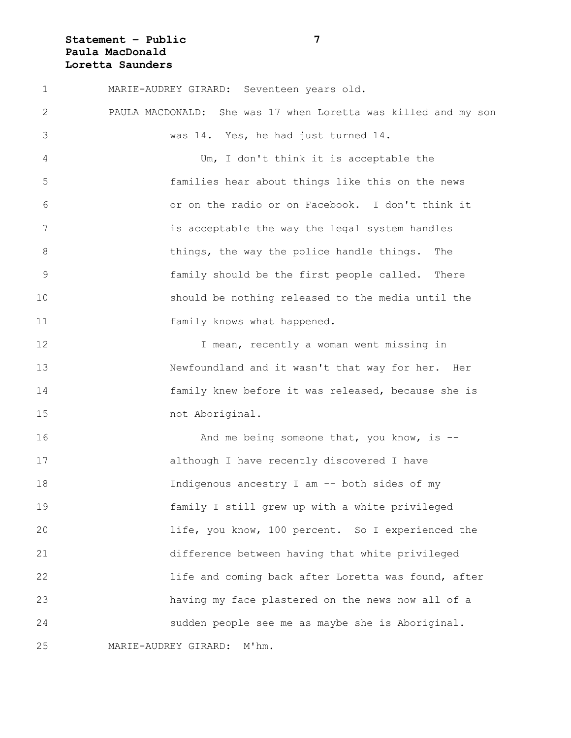# **Statement – Public 7 Paula MacDonald Loretta Saunders**

| $\mathbf 1$   | MARIE-AUDREY GIRARD: Seventeen years old.                         |
|---------------|-------------------------------------------------------------------|
| 2             | She was 17 when Loretta was killed and my son<br>PAULA MACDONALD: |
| 3             | was 14. Yes, he had just turned 14.                               |
| 4             | Um, I don't think it is acceptable the                            |
| 5             | families hear about things like this on the news                  |
| 6             | or on the radio or on Facebook. I don't think it                  |
| 7             | is acceptable the way the legal system handles                    |
| $8\,$         | things, the way the police handle things.<br>The                  |
| $\mathcal{G}$ | family should be the first people called. There                   |
| 10            | should be nothing released to the media until the                 |
| 11            | family knows what happened.                                       |
| 12            | I mean, recently a woman went missing in                          |
| 13            | Newfoundland and it wasn't that way for her. Her                  |
| 14            | family knew before it was released, because she is                |
| 15            | not Aboriginal.                                                   |
| 16            | And me being someone that, you know, is $-$ -                     |
| 17            | although I have recently discovered I have                        |
| 18            | Indigenous ancestry I am -- both sides of my                      |
| 19            | family I still grew up with a white privileged                    |
| 20            | life, you know, 100 percent. So I experienced the                 |
| 21            | difference between having that white privileged                   |
| 22            | life and coming back after Loretta was found, after               |
| 23            | having my face plastered on the news now all of a                 |
| 24            | sudden people see me as maybe she is Aboriginal.                  |
| 25            | MARIE-AUDREY GIRARD: M'hm.                                        |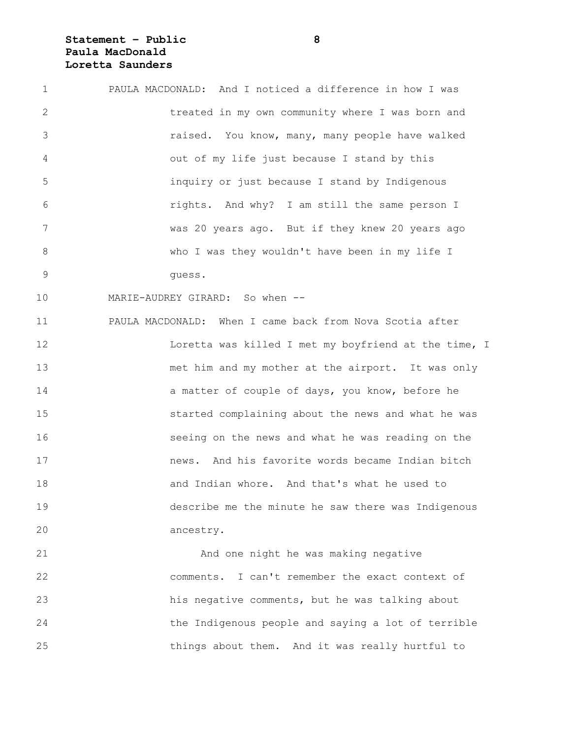## **Statement – Public 8 Paula MacDonald Loretta Saunders**

| $\mathbf 1$    | PAULA MACDONALD: And I noticed a difference in how I was |
|----------------|----------------------------------------------------------|
| $\mathbf{2}$   | treated in my own community where I was born and         |
| 3              | raised. You know, many, many people have walked          |
| 4              | out of my life just because I stand by this              |
| 5              | inquiry or just because I stand by Indigenous            |
| 6              | rights. And why? I am still the same person I            |
| 7              | was 20 years ago. But if they knew 20 years ago          |
| $\,8\,$        | who I was they wouldn't have been in my life I           |
| $\overline{9}$ | quess.                                                   |
| 10             | MARIE-AUDREY GIRARD: So when --                          |
| 11             | PAULA MACDONALD: When I came back from Nova Scotia after |
| 12             | Loretta was killed I met my boyfriend at the time, I     |
| 13             | met him and my mother at the airport. It was only        |
| 14             | a matter of couple of days, you know, before he          |
| 15             | started complaining about the news and what he was       |
| 16             | seeing on the news and what he was reading on the        |
| 17             | news. And his favorite words became Indian bitch         |
| 18             | and Indian whore. And that's what he used to             |
| 19             | describe me the minute he saw there was Indigenous       |
| 20             | ancestry.                                                |
| 21             | And one night he was making negative                     |
| 22             | comments. I can't remember the exact context of          |

23 his negative comments, but he was talking about 24 the Indigenous people and saying a lot of terrible 25 things about them. And it was really hurtful to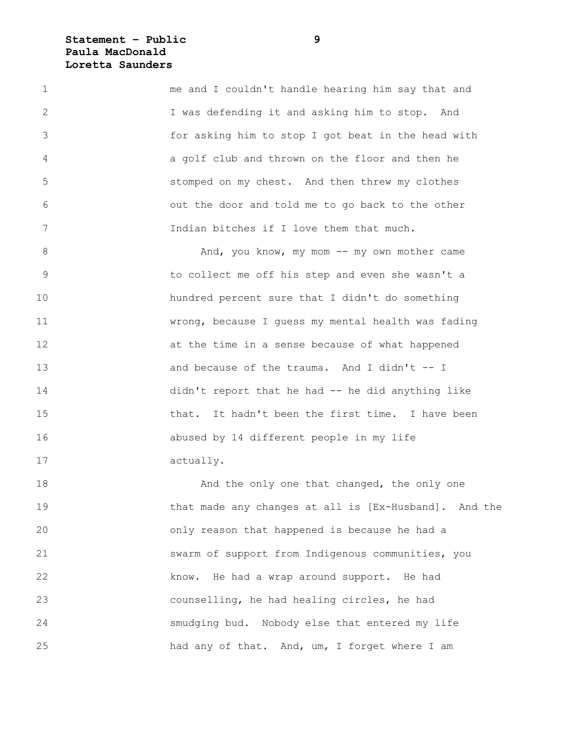**Statement – Public 9 Paula MacDonald Loretta Saunders**

1 me and I couldn't handle hearing him say that and 2 I was defending it and asking him to stop. And 3 for asking him to stop I got beat in the head with 4 a golf club and thrown on the floor and then he 5 stomped on my chest. And then threw my clothes 6 out the door and told me to go back to the other 7 Indian bitches if I love them that much.

8 And, you know, my mom -- my own mother came 9 to collect me off his step and even she wasn't a 10 hundred percent sure that I didn't do something 11 wrong, because I guess my mental health was fading 12 at the time in a sense because of what happened 13 and because of the trauma. And I didn't -- I 14 didn't report that he had -- he did anything like 15 that. It hadn't been the first time. I have been 16 abused by 14 different people in my life 17 actually.

18 **And the only one that changed, the only one** 19 that made any changes at all is [Ex-Husband]. And the 20 only reason that happened is because he had a 21 swarm of support from Indigenous communities, you 22 know. He had a wrap around support. He had 23 counselling, he had healing circles, he had 24 smudging bud. Nobody else that entered my life 25 had any of that. And, um, I forget where I am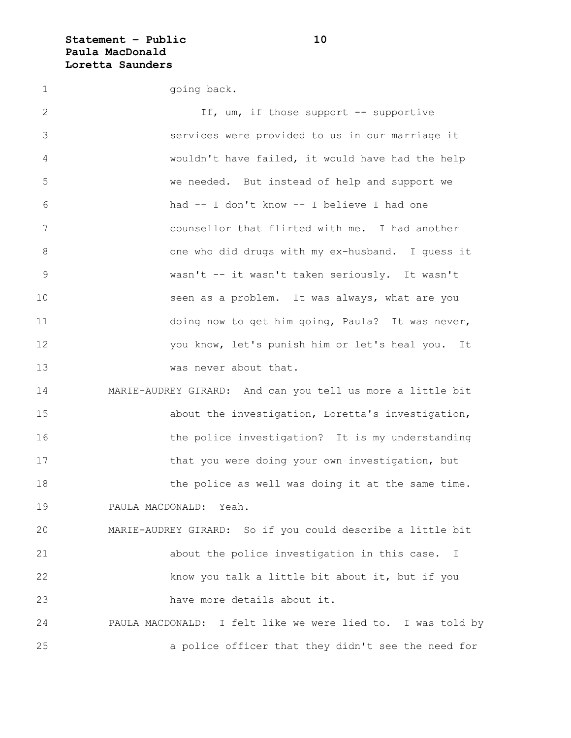**Statement – Public 10 Paula MacDonald Loretta Saunders**

1 going back. 2 If, um, if those support -- supportive 3 services were provided to us in our marriage it 4 wouldn't have failed, it would have had the help 5 we needed. But instead of help and support we 6 had -- I don't know -- I believe I had one 7 counsellor that flirted with me. I had another 8 one who did drugs with my ex-husband. I guess it 9 wasn't -- it wasn't taken seriously. It wasn't 10 seen as a problem. It was always, what are you 11 doing now to get him going, Paula? It was never, 12 you know, let's punish him or let's heal you. It 13 was never about that. 14 MARIE-AUDREY GIRARD: And can you tell us more a little bit 15 about the investigation, Loretta's investigation, 16 the police investigation? It is my understanding 17 that you were doing your own investigation, but 18 the police as well was doing it at the same time. 19 PAULA MACDONALD: Yeah. 20 MARIE-AUDREY GIRARD: So if you could describe a little bit 21 about the police investigation in this case. I 22 know you talk a little bit about it, but if you 23 have more details about it. 24 PAULA MACDONALD: I felt like we were lied to. I was told by 25 a police officer that they didn't see the need for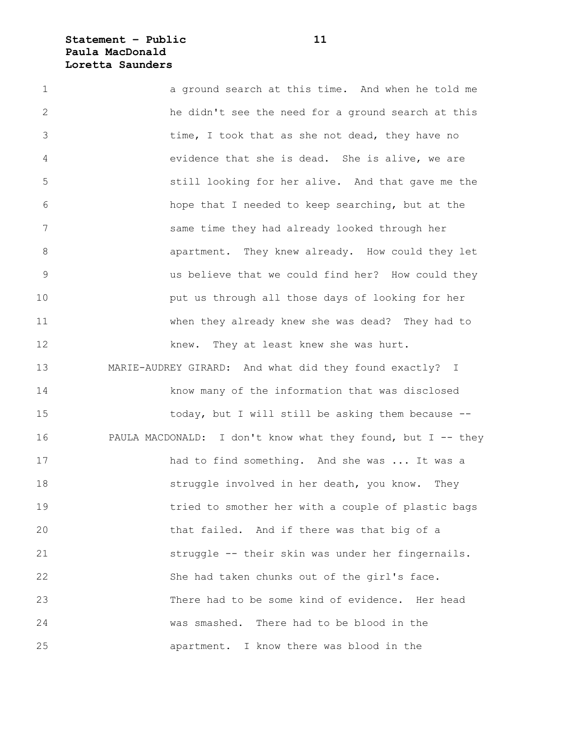**Statement – Public 11 Paula MacDonald Loretta Saunders**

1 a ground search at this time. And when he told me 2 he didn't see the need for a ground search at this 3 time, I took that as she not dead, they have no 4 evidence that she is dead. She is alive, we are 5 still looking for her alive. And that gave me the 6 hope that I needed to keep searching, but at the 7 same time they had already looked through her 8 apartment. They knew already. How could they let 9 us believe that we could find her? How could they 10 put us through all those days of looking for her 11 when they already knew she was dead? They had to 12 knew. They at least knew she was hurt. 13 MARIE-AUDREY GIRARD: And what did they found exactly? I 14 know many of the information that was disclosed 15 today, but I will still be asking them because -- 16 PAULA MACDONALD: I don't know what they found, but I -- they 17 had to find something. And she was ... It was a 18 struggle involved in her death, you know. They 19 tried to smother her with a couple of plastic bags 20 that failed. And if there was that big of a 21 struggle -- their skin was under her fingernails. 22 She had taken chunks out of the girl's face. 23 There had to be some kind of evidence. Her head 24 was smashed. There had to be blood in the 25 apartment. I know there was blood in the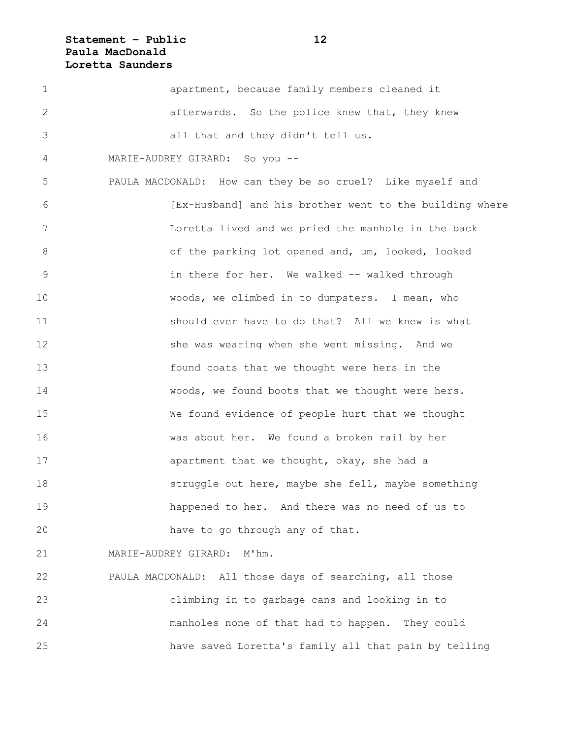# **Statement – Public 12 Paula MacDonald Loretta Saunders**

| 1              | apartment, because family members cleaned it               |
|----------------|------------------------------------------------------------|
| 2              | afterwards. So the police knew that, they knew             |
| 3              | all that and they didn't tell us.                          |
| 4              | MARIE-AUDREY GIRARD: So you --                             |
| 5              | PAULA MACDONALD: How can they be so cruel? Like myself and |
| 6              | [Ex-Husband] and his brother went to the building where    |
| 7              | Loretta lived and we pried the manhole in the back         |
| 8              | of the parking lot opened and, um, looked, looked          |
| $\overline{9}$ | in there for her. We walked -- walked through              |
| 10             | woods, we climbed in to dumpsters. I mean, who             |
| 11             | should ever have to do that? All we knew is what           |
| 12             | she was wearing when she went missing. And we              |
| 13             | found coats that we thought were hers in the               |
| 14             | woods, we found boots that we thought were hers.           |
| 15             | We found evidence of people hurt that we thought           |
| 16             | was about her. We found a broken rail by her               |
| 17             | apartment that we thought, okay, she had a                 |
| 18             | struggle out here, maybe she fell, maybe something         |
| 19             | happened to her. And there was no need of us to            |
| 20             | have to go through any of that.                            |
| 21             | MARIE-AUDREY GIRARD:<br>M'hm.                              |
| 22             | PAULA MACDONALD: All those days of searching, all those    |
| 23             | climbing in to garbage cans and looking in to              |
| 24             | manholes none of that had to happen. They could            |
|                |                                                            |

25 have saved Loretta's family all that pain by telling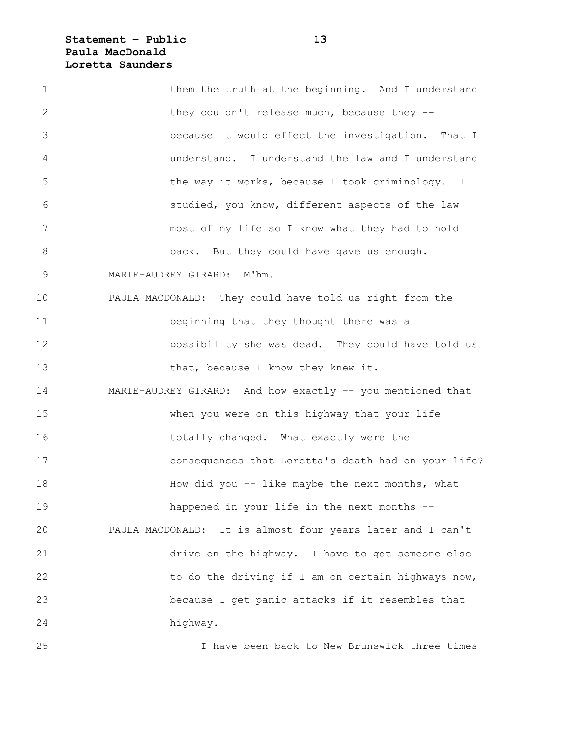# **Statement – Public 13 Paula MacDonald Loretta Saunders**

| $\mathbf 1$   | them the truth at the beginning. And I understand          |
|---------------|------------------------------------------------------------|
| 2             | they couldn't release much, because they --                |
| 3             | because it would effect the investigation. That I          |
| 4             | understand. I understand the law and I understand          |
| 5             | the way it works, because I took criminology. I            |
| 6             | studied, you know, different aspects of the law            |
| 7             | most of my life so I know what they had to hold            |
| $8\,$         | back. But they could have gave us enough.                  |
| $\mathcal{G}$ | $M'$ hm.<br>MARIE-AUDREY GIRARD:                           |
| 10            | PAULA MACDONALD: They could have told us right from the    |
| 11            | beginning that they thought there was a                    |
| 12            | possibility she was dead. They could have told us          |
| 13            | that, because I know they knew it.                         |
| 14            | MARIE-AUDREY GIRARD: And how exactly -- you mentioned that |
| 15            | when you were on this highway that your life               |
| 16            | totally changed. What exactly were the                     |
| 17            | consequences that Loretta's death had on your life?        |
| 18            | How did you -- like maybe the next months, what            |
| 19            | happened in your life in the next months --                |
| 20            | PAULA MACDONALD: It is almost four years later and I can't |
| 21            | drive on the highway. I have to get someone else           |
| 22            | to do the driving if I am on certain highways now,         |
| 23            | because I get panic attacks if it resembles that           |
| 24            | highway.                                                   |
| 25            | I have been back to New Brunswick three times              |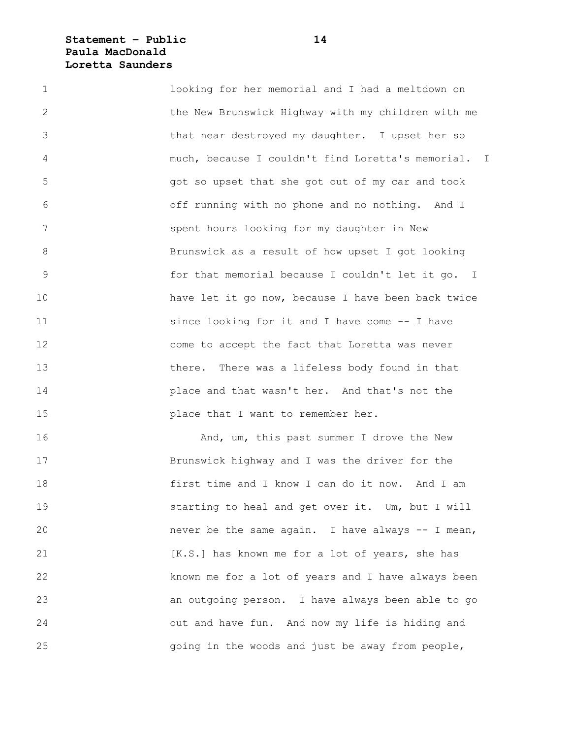#### **Statement – Public 14 Paula MacDonald Loretta Saunders**

1 looking for her memorial and I had a meltdown on 2 the New Brunswick Highway with my children with me 3 that near destroyed my daughter. I upset her so 4 much, because I couldn't find Loretta's memorial. I 5 got so upset that she got out of my car and took 6 off running with no phone and no nothing. And I 7 spent hours looking for my daughter in New 8 Brunswick as a result of how upset I got looking 9 for that memorial because I couldn't let it go. I 10 have let it go now, because I have been back twice 11 since looking for it and I have come -- I have 12 come to accept the fact that Loretta was never 13 there. There was a lifeless body found in that 14 place and that wasn't her. And that's not the 15 **place that I want to remember her.** 

16 **And, um, this past summer I drove the New** 17 Brunswick highway and I was the driver for the 18 first time and I know I can do it now. And I am 19 starting to heal and get over it. Um, but I will 20 hever be the same again. I have always -- I mean, 21 [K.S.] has known me for a lot of years, she has 22 known me for a lot of years and I have always been 23 an outgoing person. I have always been able to go 24 out and have fun. And now my life is hiding and 25 going in the woods and just be away from people,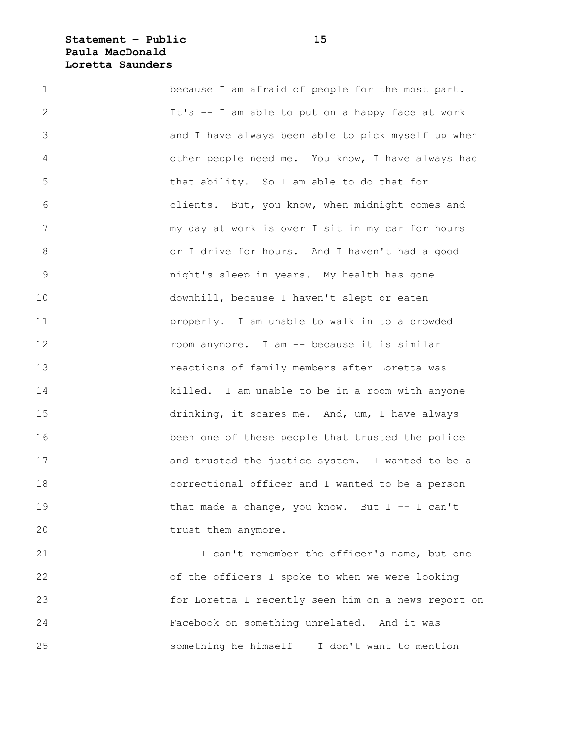### **Statement – Public 15 Paula MacDonald Loretta Saunders**

| $\mathbf 1$    | because I am afraid of people for the most part.   |
|----------------|----------------------------------------------------|
| 2              | It's -- I am able to put on a happy face at work   |
| 3              | and I have always been able to pick myself up when |
| 4              | other people need me. You know, I have always had  |
| 5              | that ability. So I am able to do that for          |
| 6              | clients. But, you know, when midnight comes and    |
| 7              | my day at work is over I sit in my car for hours   |
| 8              | or I drive for hours. And I haven't had a good     |
| $\overline{9}$ | night's sleep in years. My health has gone         |
| 10             | downhill, because I haven't slept or eaten         |
| 11             | properly. I am unable to walk in to a crowded      |
| 12             | room anymore. I am -- because it is similar        |
| 13             | reactions of family members after Loretta was      |
| 14             | killed. I am unable to be in a room with anyone    |
| 15             | drinking, it scares me. And, um, I have always     |
| 16             | been one of these people that trusted the police   |
| 17             | and trusted the justice system. I wanted to be a   |
| 18             | correctional officer and I wanted to be a person   |
| 19             | that made a change, you know. But I -- I can't     |
| 20             | trust them anymore.                                |
|                |                                                    |

21 I can't remember the officer's name, but one 22 of the officers I spoke to when we were looking 23 for Loretta I recently seen him on a news report on 24 Facebook on something unrelated. And it was 25 something he himself -- I don't want to mention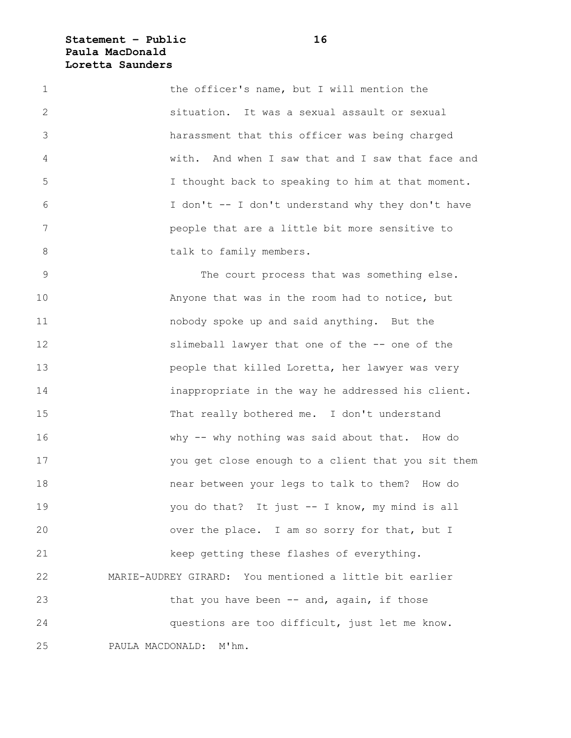### **Statement – Public 16 Paula MacDonald Loretta Saunders**

| $\mathbf 1$    | the officer's name, but I will mention the        |
|----------------|---------------------------------------------------|
| $\overline{2}$ | situation. It was a sexual assault or sexual      |
| 3              | harassment that this officer was being charged    |
| 4              | with. And when I saw that and I saw that face and |
| 5              | I thought back to speaking to him at that moment. |
| 6              | I don't -- I don't understand why they don't have |
| 7              | people that are a little bit more sensitive to    |
| 8              | talk to family members.                           |

9 The court process that was something else. 10 Anyone that was in the room had to notice, but 11 nobody spoke up and said anything. But the 12 slimeball lawyer that one of the -- one of the 13 people that killed Loretta, her lawyer was very 14 inappropriate in the way he addressed his client. 15 That really bothered me. I don't understand 16 why -- why nothing was said about that. How do 17 you get close enough to a client that you sit them 18 near between your legs to talk to them? How do 19 You do that? It just -- I know, my mind is all 20 over the place. I am so sorry for that, but I 21 keep getting these flashes of everything. 22 MARIE-AUDREY GIRARD: You mentioned a little bit earlier 23 that you have been -- and, again, if those 24 questions are too difficult, just let me know. 25 PAULA MACDONALD: M'hm.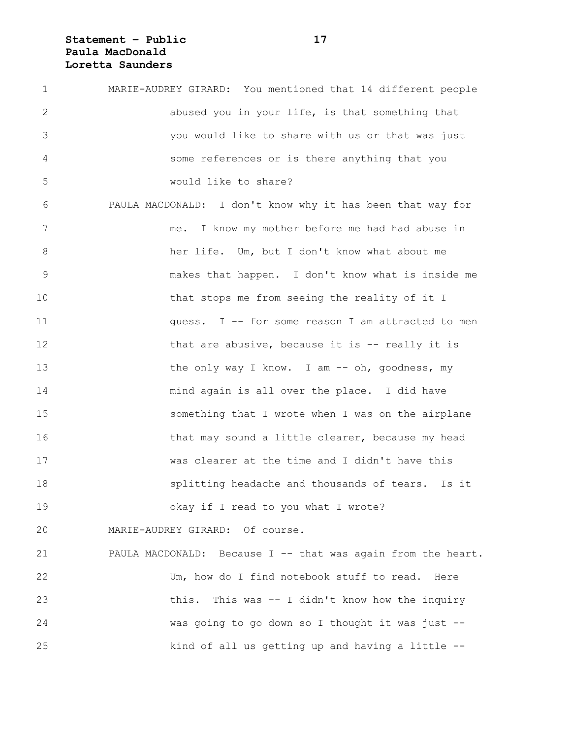# **Statement – Public 17 Paula MacDonald Loretta Saunders**

| $\mathbf 1$    | MARIE-AUDREY GIRARD: You mentioned that 14 different people  |
|----------------|--------------------------------------------------------------|
| 2              | abused you in your life, is that something that              |
| 3              | you would like to share with us or that was just             |
| 4              | some references or is there anything that you                |
| 5              | would like to share?                                         |
| 6              | PAULA MACDONALD: I don't know why it has been that way for   |
| 7              | me. I know my mother before me had had abuse in              |
| 8              | her life. Um, but I don't know what about me                 |
| $\overline{9}$ | makes that happen. I don't know what is inside me            |
| 10             | that stops me from seeing the reality of it I                |
| 11             | quess. I -- for some reason I am attracted to men            |
| 12             | that are abusive, because it is $-$ - really it is           |
| 13             | the only way I know. I am -- oh, goodness, my                |
| 14             | mind again is all over the place. I did have                 |
| 15             | something that I wrote when I was on the airplane            |
| 16             | that may sound a little clearer, because my head             |
| 17             | was clearer at the time and I didn't have this               |
| 18             | splitting headache and thousands of tears. Is it             |
| 19             | okay if I read to you what I wrote?                          |
| 20             | MARIE-AUDREY GIRARD: Of course.                              |
| 21             | PAULA MACDONALD: Because I -- that was again from the heart. |
| 22             | Um, how do I find notebook stuff to read. Here               |
| 23             | This was -- I didn't know how the inquiry<br>this.           |
| 24             | was going to go down so I thought it was just --             |
| 25             | kind of all us getting up and having a little --             |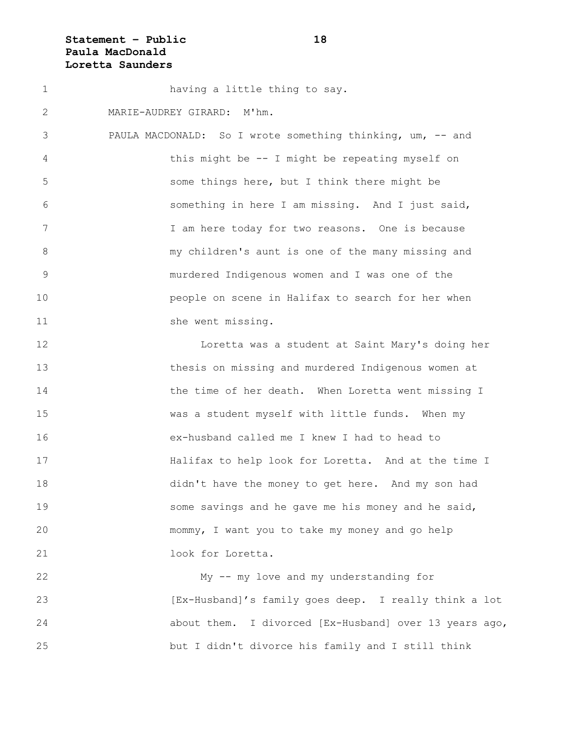### **Statement – Public 18 Paula MacDonald Loretta Saunders**

1 having a little thing to say. 2 MARIE-AUDREY GIRARD: M'hm. 3 PAULA MACDONALD: So I wrote something thinking, um, -- and 4 this might be -- I might be repeating myself on 5 some things here, but I think there might be 6 something in here I am missing. And I just said, 7 1 I am here today for two reasons. One is because 8 my children's aunt is one of the many missing and 9 murdered Indigenous women and I was one of the 10 people on scene in Halifax to search for her when 11 she went missing. 12 Loretta was a student at Saint Mary's doing her 13 thesis on missing and murdered Indigenous women at 14 the time of her death. When Loretta went missing I 15 was a student myself with little funds. When my 16 ex-husband called me I knew I had to head to 17 Halifax to help look for Loretta. And at the time I 18 didn't have the money to get here. And my son had 19 Some savings and he gave me his money and he said, 20 mommy, I want you to take my money and go help 21 look for Loretta. 22 My -- my love and my understanding for 23 [Ex-Husband]'s family goes deep. I really think a lot 24 about them. I divorced [Ex-Husband] over 13 years ago,

25 but I didn't divorce his family and I still think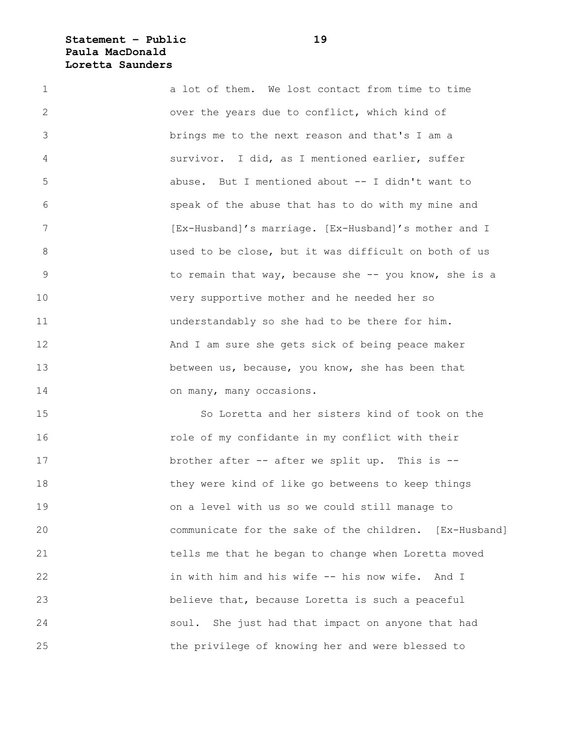#### **Statement – Public 19 Paula MacDonald Loretta Saunders**

1 a lot of them. We lost contact from time to time 2 over the years due to conflict, which kind of 3 brings me to the next reason and that's I am a 4 survivor. I did, as I mentioned earlier, suffer 5 abuse. But I mentioned about -- I didn't want to 6 speak of the abuse that has to do with my mine and 7 **IFX-Husband**]'s marriage. [Ex-Husband]'s mother and I 8 used to be close, but it was difficult on both of us 9 to remain that way, because she -- you know, she is a 10 very supportive mother and he needed her so 11 understandably so she had to be there for him. 12 And I am sure she gets sick of being peace maker 13 between us, because, you know, she has been that 14 on many, many occasions.

15 So Loretta and her sisters kind of took on the 16 role of my confidante in my conflict with their 17 brother after -- after we split up. This is -- 18 they were kind of like go betweens to keep things 19 on a level with us so we could still manage to 20 communicate for the sake of the children. [Ex-Husband] 21 tells me that he began to change when Loretta moved 22 in with him and his wife -- his now wife. And I 23 believe that, because Loretta is such a peaceful 24 soul. She just had that impact on anyone that had 25 the privilege of knowing her and were blessed to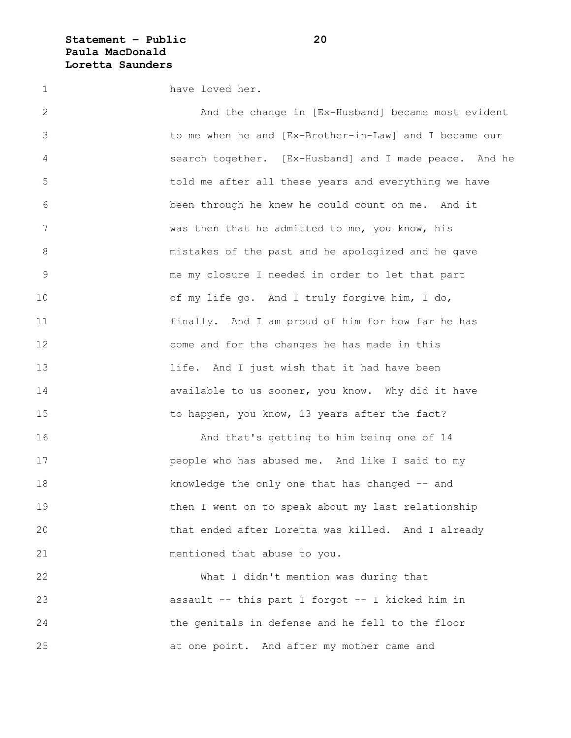#### **Statement – Public 20 Paula MacDonald Loretta Saunders**

1 have loved her.

2 And the change in [Ex-Husband] became most evident 3 to me when he and [Ex-Brother-in-Law] and I became our 4 search together. [Ex-Husband] and I made peace. And he 5 told me after all these years and everything we have 6 been through he knew he could count on me. And it 7 was then that he admitted to me, you know, his 8 mistakes of the past and he apologized and he gave 9 me my closure I needed in order to let that part 10 of my life go. And I truly forgive him, I do, 11 finally. And I am proud of him for how far he has 12 come and for the changes he has made in this 13 life. And I just wish that it had have been 14 **available to us sooner, you know.** Why did it have 15 to happen, you know, 13 years after the fact? 16 And that's getting to him being one of 14 17 people who has abused me. And like I said to my 18 knowledge the only one that has changed -- and

19 then I went on to speak about my last relationship 20 that ended after Loretta was killed. And I already 21 mentioned that abuse to you.

22 What I didn't mention was during that 23 assault -- this part I forgot -- I kicked him in 24 the genitals in defense and he fell to the floor 25 at one point. And after my mother came and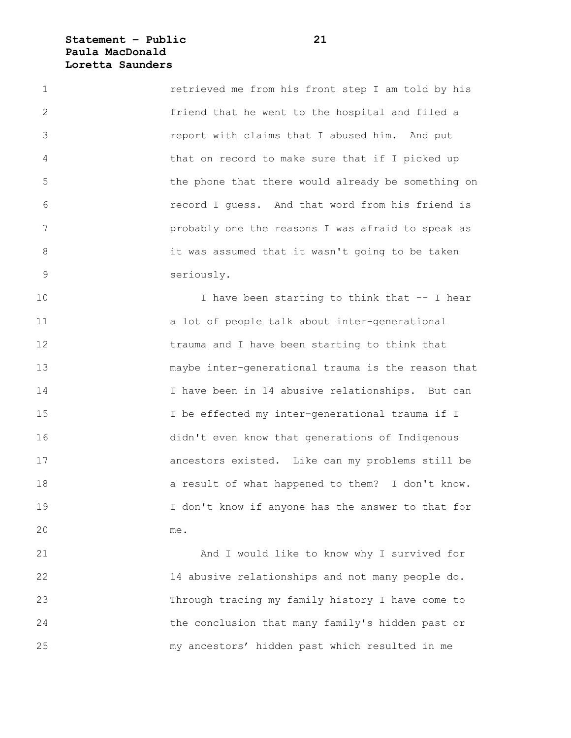**Statement – Public 21 Paula MacDonald Loretta Saunders**

1 retrieved me from his front step I am told by his 2 friend that he went to the hospital and filed a 3 report with claims that I abused him. And put 4 that on record to make sure that if I picked up 5 the phone that there would already be something on 6 record I guess. And that word from his friend is 7 probably one the reasons I was afraid to speak as 8 it was assumed that it wasn't going to be taken 9 seriously.

10 I have been starting to think that -- I hear 11 a lot of people talk about inter-generational 12 trauma and I have been starting to think that 13 maybe inter-generational trauma is the reason that 14 I have been in 14 abusive relationships. But can 15 I be effected my inter-generational trauma if I 16 didn't even know that generations of Indigenous 17 ancestors existed. Like can my problems still be 18 a result of what happened to them? I don't know. 19 I don't know if anyone has the answer to that for 20 me.

21 And I would like to know why I survived for 22 14 abusive relationships and not many people do. 23 Through tracing my family history I have come to 24 the conclusion that many family's hidden past or 25 my ancestors' hidden past which resulted in me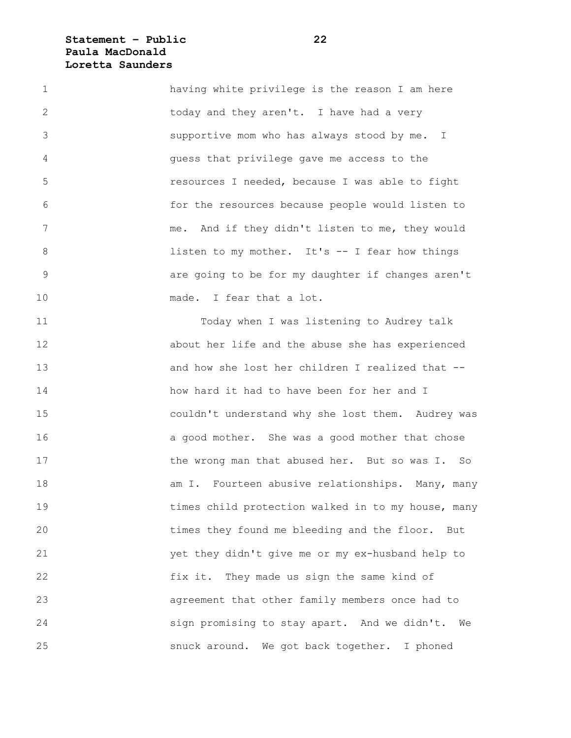### **Statement – Public 22 Paula MacDonald Loretta Saunders**

1 having white privilege is the reason I am here 2 today and they aren't. I have had a very 3 supportive mom who has always stood by me. I 4 guess that privilege gave me access to the 5 resources I needed, because I was able to fight 6 for the resources because people would listen to 7 me. And if they didn't listen to me, they would 8 **and it is the listen to my mother.** It's -- I fear how things 9 are going to be for my daughter if changes aren't 10 made. I fear that a lot.

11 Today when I was listening to Audrey talk 12 about her life and the abuse she has experienced 13 and how she lost her children I realized that -- 14 how hard it had to have been for her and I 15 couldn't understand why she lost them. Audrey was 16 **a** good mother. She was a good mother that chose 17 the wrong man that abused her. But so was I. So 18 am I. Fourteen abusive relationships. Many, many 19 times child protection walked in to my house, many 20 times they found me bleeding and the floor. But 21 yet they didn't give me or my ex-husband help to 22 fix it. They made us sign the same kind of 23 agreement that other family members once had to 24 sign promising to stay apart. And we didn't. We 25 snuck around. We got back together. I phoned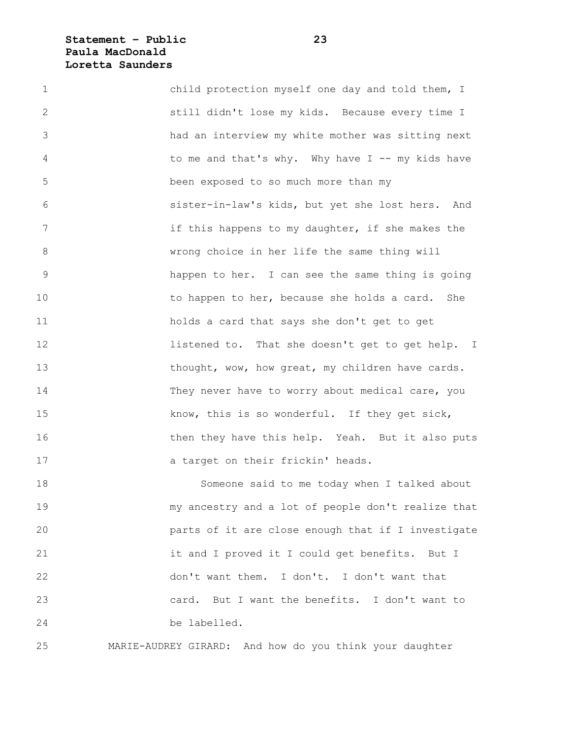### **Statement – Public 23 Paula MacDonald Loretta Saunders**

| $\mathbf 1$     | child protection myself one day and told them, I   |
|-----------------|----------------------------------------------------|
| $\mathbf{2}$    | still didn't lose my kids. Because every time I    |
| 3               | had an interview my white mother was sitting next  |
| 4               | to me and that's why. Why have $I$ -- my kids have |
| 5               | been exposed to so much more than my               |
| 6               | sister-in-law's kids, but yet she lost hers. And   |
| $7\phantom{.0}$ | if this happens to my daughter, if she makes the   |
| 8               | wrong choice in her life the same thing will       |
| 9               | happen to her. I can see the same thing is going   |
| 10              | to happen to her, because she holds a card. She    |
| 11              | holds a card that says she don't get to get        |
| 12              | listened to. That she doesn't get to get help. I   |
| 13              | thought, wow, how great, my children have cards.   |
| 14              | They never have to worry about medical care, you   |
| 15              | know, this is so wonderful. If they get sick,      |
| 16              | then they have this help. Yeah. But it also puts   |
| 17              | a target on their frickin' heads.                  |
| 18              | Someone said to me today when I talked about       |
| 19              | my ancestry and a lot of people don't realize that |
| 20              | parts of it are close enough that if I investigate |
| 21              | it and I proved it I could get benefits. But I     |
| 22              | don't want them. I don't. I don't want that        |
|                 |                                                    |

24 be labelled.

25 MARIE-AUDREY GIRARD: And how do you think your daughter

23 card. But I want the benefits. I don't want to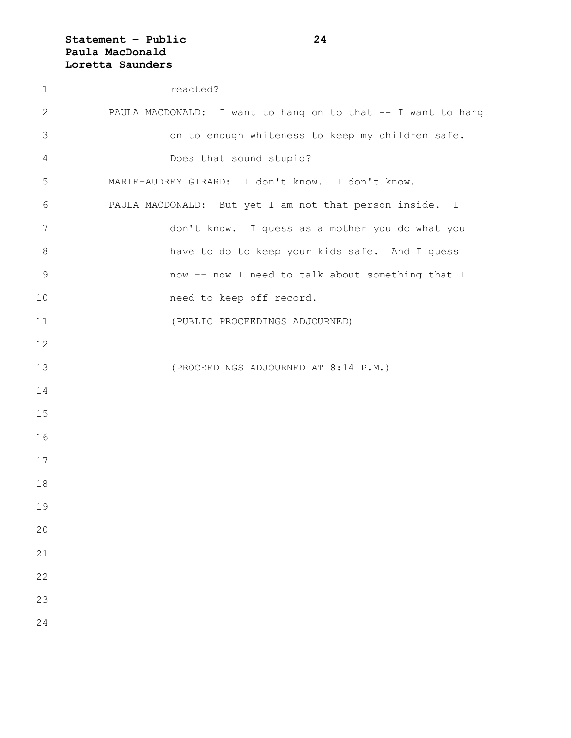# **Statement – Public 24 Paula MacDonald Loretta Saunders**

| $\mathbf 1$    | reacted?                                                     |
|----------------|--------------------------------------------------------------|
| 2              | PAULA MACDONALD: I want to hang on to that -- I want to hang |
| 3              | on to enough whiteness to keep my children safe.             |
| 4              | Does that sound stupid?                                      |
| 5              | MARIE-AUDREY GIRARD: I don't know. I don't know.             |
| 6              | PAULA MACDONALD: But yet I am not that person inside. I      |
| 7              | don't know. I guess as a mother you do what you              |
| $8\,$          | have to do to keep your kids safe. And I guess               |
| $\overline{9}$ | now -- now I need to talk about something that I             |
| 10             | need to keep off record.                                     |
| 11             | (PUBLIC PROCEEDINGS ADJOURNED)                               |
| 12             |                                                              |
| 13             | (PROCEEDINGS ADJOURNED AT 8:14 P.M.)                         |
| 14             |                                                              |
| 15             |                                                              |
| 16             |                                                              |
| 17             |                                                              |
| 18             |                                                              |
| 19             |                                                              |
| 20             |                                                              |
| 21             |                                                              |
| 22             |                                                              |
| 23             |                                                              |
| 24             |                                                              |